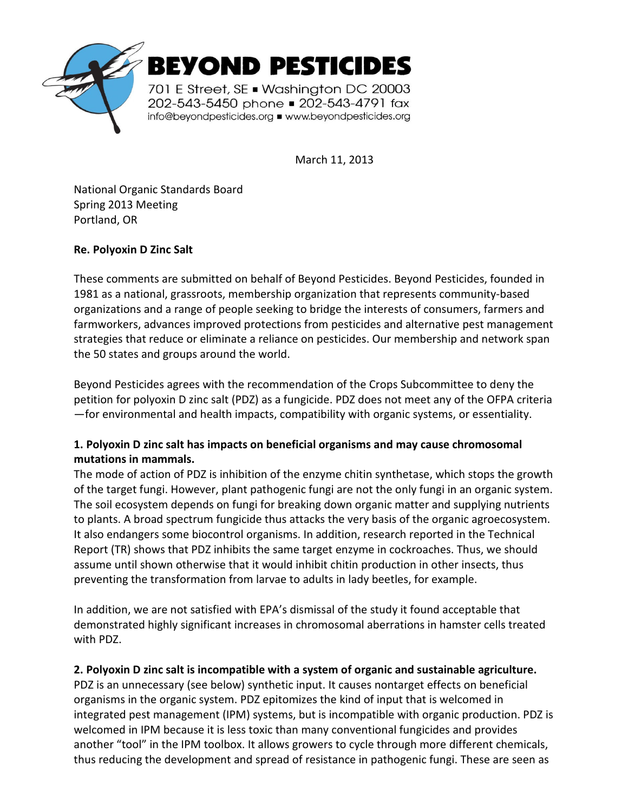

March 11, 2013

National Organic Standards Board Spring 2013 Meeting Portland, OR

## **Re. Polyoxin D Zinc Salt**

These comments are submitted on behalf of Beyond Pesticides. Beyond Pesticides, founded in 1981 as a national, grassroots, membership organization that represents community-based organizations and a range of people seeking to bridge the interests of consumers, farmers and farmworkers, advances improved protections from pesticides and alternative pest management strategies that reduce or eliminate a reliance on pesticides. Our membership and network span the 50 states and groups around the world.

Beyond Pesticides agrees with the recommendation of the Crops Subcommittee to deny the petition for polyoxin D zinc salt (PDZ) as a fungicide. PDZ does not meet any of the OFPA criteria —for environmental and health impacts, compatibility with organic systems, or essentiality.

## **1. Polyoxin D zinc salt has impacts on beneficial organisms and may cause chromosomal mutations in mammals.**

The mode of action of PDZ is inhibition of the enzyme chitin synthetase, which stops the growth of the target fungi. However, plant pathogenic fungi are not the only fungi in an organic system. The soil ecosystem depends on fungi for breaking down organic matter and supplying nutrients to plants. A broad spectrum fungicide thus attacks the very basis of the organic agroecosystem. It also endangers some biocontrol organisms. In addition, research reported in the Technical Report (TR) shows that PDZ inhibits the same target enzyme in cockroaches. Thus, we should assume until shown otherwise that it would inhibit chitin production in other insects, thus preventing the transformation from larvae to adults in lady beetles, for example.

In addition, we are not satisfied with EPA's dismissal of the study it found acceptable that demonstrated highly significant increases in chromosomal aberrations in hamster cells treated with PDZ.

## **2. Polyoxin D zinc salt is incompatible with a system of organic and sustainable agriculture.**

PDZ is an unnecessary (see below) synthetic input. It causes nontarget effects on beneficial organisms in the organic system. PDZ epitomizes the kind of input that is welcomed in integrated pest management (IPM) systems, but is incompatible with organic production. PDZ is welcomed in IPM because it is less toxic than many conventional fungicides and provides another "tool" in the IPM toolbox. It allows growers to cycle through more different chemicals, thus reducing the development and spread of resistance in pathogenic fungi. These are seen as